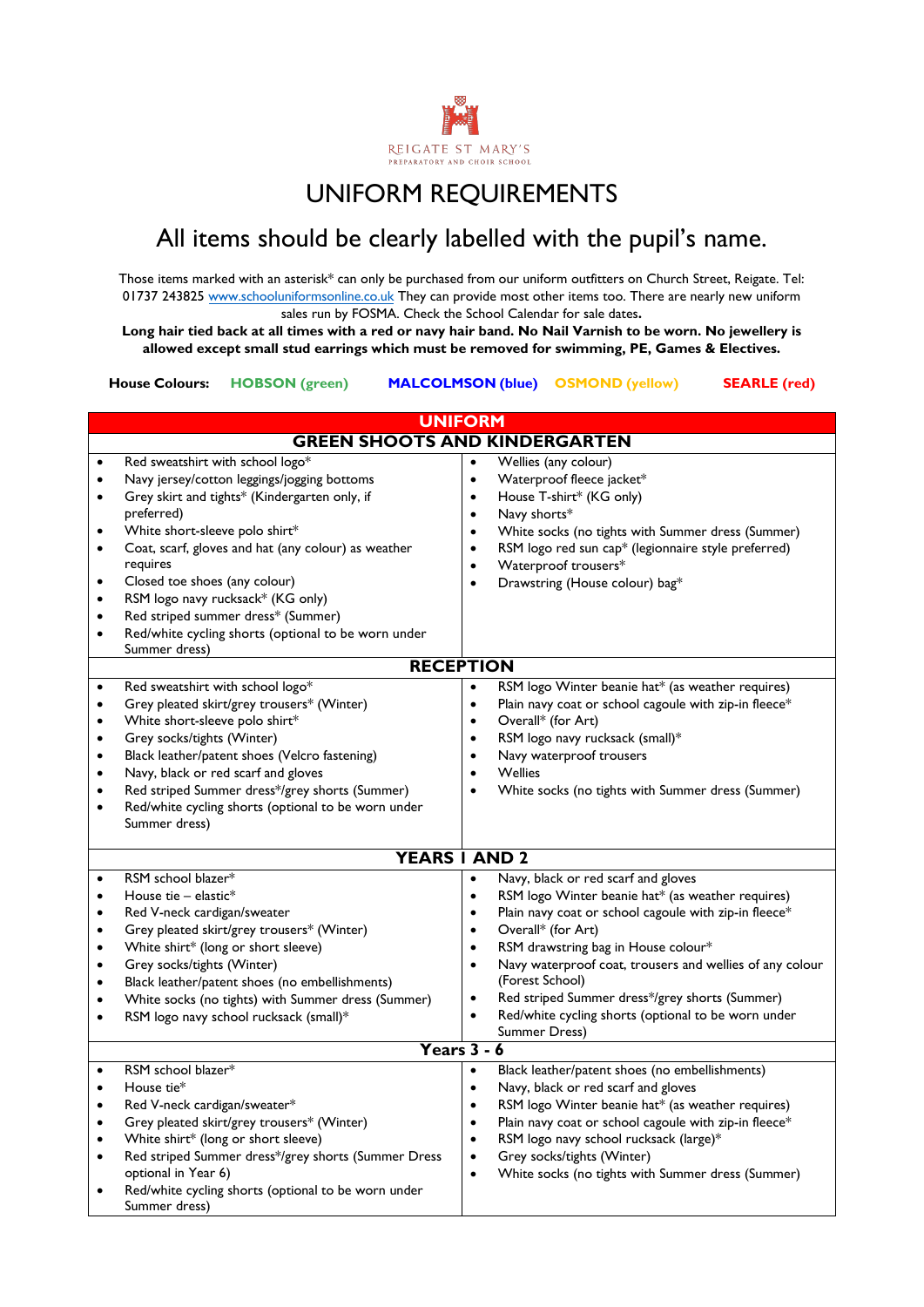

# UNIFORM REQUIREMENTS

# All items should be clearly labelled with the pupil's name.

Those items marked with an asterisk\* can only be purchased from our uniform outfitters on Church Street, Reigate. Tel: 01737 243825 [www.schooluniformsonline.co.uk](http://www.schooluniformsonline.co.uk/) They can provide most other items too. There are nearly new uniform sales run by FOSMA. Check the School Calendar for sale dates**.** 

**Long hair tied back at all times with a red or navy hair band. No Nail Varnish to be worn. No jewellery is allowed except small stud earrings which must be removed for swimming, PE, Games & Electives.**

**House Colours: HOBSON (green) MALCOLMSON (blue) OSMOND (yellow) SEARLE (red)**

| <b>UNIFORM</b>                                                                                       |                                                                                                                                                                                                                                                                                                                                                                                                                                         |                                                                                                                                                                                                                                                                                                                                                                                                                                                                                                                                 |  |
|------------------------------------------------------------------------------------------------------|-----------------------------------------------------------------------------------------------------------------------------------------------------------------------------------------------------------------------------------------------------------------------------------------------------------------------------------------------------------------------------------------------------------------------------------------|---------------------------------------------------------------------------------------------------------------------------------------------------------------------------------------------------------------------------------------------------------------------------------------------------------------------------------------------------------------------------------------------------------------------------------------------------------------------------------------------------------------------------------|--|
| <b>GREEN SHOOTS AND KINDERGARTEN</b>                                                                 |                                                                                                                                                                                                                                                                                                                                                                                                                                         |                                                                                                                                                                                                                                                                                                                                                                                                                                                                                                                                 |  |
| $\bullet$<br>$\bullet$<br>$\bullet$<br>$\bullet$<br>$\bullet$<br>$\bullet$<br>$\bullet$              | Red sweatshirt with school logo*<br>Navy jersey/cotton leggings/jogging bottoms<br>Grey skirt and tights* (Kindergarten only, if<br>preferred)<br>White short-sleeve polo shirt*<br>Coat, scarf, gloves and hat (any colour) as weather<br>requires<br>Closed toe shoes (any colour)<br>RSM logo navy rucksack* (KG only)<br>Red striped summer dress* (Summer)<br>Red/white cycling shorts (optional to be worn under<br>Summer dress) | Wellies (any colour)<br>$\bullet$<br>Waterproof fleece jacket*<br>$\bullet$<br>House T-shirt* (KG only)<br>$\bullet$<br>Navy shorts*<br>$\bullet$<br>White socks (no tights with Summer dress (Summer)<br>$\bullet$<br>RSM logo red sun cap* (legionnaire style preferred)<br>$\bullet$<br>Waterproof trousers*<br>$\bullet$<br>Drawstring (House colour) bag*<br>$\bullet$                                                                                                                                                     |  |
| <b>RECEPTION</b>                                                                                     |                                                                                                                                                                                                                                                                                                                                                                                                                                         |                                                                                                                                                                                                                                                                                                                                                                                                                                                                                                                                 |  |
| $\bullet$<br>٠<br>$\bullet$<br>$\bullet$<br>$\bullet$<br>$\bullet$<br>$\bullet$<br>$\bullet$         | Red sweatshirt with school logo*<br>Grey pleated skirt/grey trousers* (Winter)<br>White short-sleeve polo shirt*<br>Grey socks/tights (Winter)<br>Black leather/patent shoes (Velcro fastening)<br>Navy, black or red scarf and gloves<br>Red striped Summer dress*/grey shorts (Summer)<br>Red/white cycling shorts (optional to be worn under<br>Summer dress)                                                                        | RSM logo Winter beanie hat* (as weather requires)<br>$\bullet$<br>Plain navy coat or school cagoule with zip-in fleece*<br>$\bullet$<br>Overall* (for Art)<br>$\bullet$<br>RSM logo navy rucksack (small)*<br>$\bullet$<br>Navy waterproof trousers<br>$\bullet$<br>Wellies<br>$\bullet$<br>White socks (no tights with Summer dress (Summer)<br>$\bullet$                                                                                                                                                                      |  |
| <b>YEARS I AND 2</b>                                                                                 |                                                                                                                                                                                                                                                                                                                                                                                                                                         |                                                                                                                                                                                                                                                                                                                                                                                                                                                                                                                                 |  |
| $\bullet$<br>$\bullet$<br>$\bullet$<br>$\bullet$<br>$\bullet$<br>$\bullet$<br>$\bullet$<br>$\bullet$ | RSM school blazer*<br>House tie $-$ elastic*<br>Red V-neck cardigan/sweater<br>Grey pleated skirt/grey trousers* (Winter)<br>White shirt* (long or short sleeve)<br>Grey socks/tights (Winter)<br>Black leather/patent shoes (no embellishments)<br>White socks (no tights) with Summer dress (Summer)<br>RSM logo navy school rucksack (small)*                                                                                        | Navy, black or red scarf and gloves<br>$\bullet$<br>RSM logo Winter beanie hat* (as weather requires)<br>$\bullet$<br>Plain navy coat or school cagoule with zip-in fleece*<br>$\bullet$<br>Overall* (for Art)<br>$\bullet$<br>RSM drawstring bag in House colour*<br>$\bullet$<br>Navy waterproof coat, trousers and wellies of any colour<br>$\bullet$<br>(Forest School)<br>Red striped Summer dress*/grey shorts (Summer)<br>$\bullet$<br>Red/white cycling shorts (optional to be worn under<br>$\bullet$<br>Summer Dress) |  |
| Years $3 - 6$                                                                                        |                                                                                                                                                                                                                                                                                                                                                                                                                                         |                                                                                                                                                                                                                                                                                                                                                                                                                                                                                                                                 |  |
| $\bullet$<br>$\bullet$<br>$\bullet$<br>$\bullet$<br>$\bullet$<br>$\bullet$                           | RSM school blazer*<br>House tie*<br>Red V-neck cardigan/sweater*<br>Grey pleated skirt/grey trousers* (Winter)<br>White shirt* (long or short sleeve)<br>Red striped Summer dress*/grey shorts (Summer Dress<br>optional in Year 6)<br>Red/white cycling shorts (optional to be worn under<br>Summer dress)                                                                                                                             | Black leather/patent shoes (no embellishments)<br>$\bullet$<br>Navy, black or red scarf and gloves<br>$\bullet$<br>RSM logo Winter beanie hat* (as weather requires)<br>$\bullet$<br>Plain navy coat or school cagoule with zip-in fleece*<br>$\bullet$<br>RSM logo navy school rucksack (large)*<br>$\bullet$<br>Grey socks/tights (Winter)<br>$\bullet$<br>White socks (no tights with Summer dress (Summer)<br>$\bullet$                                                                                                     |  |